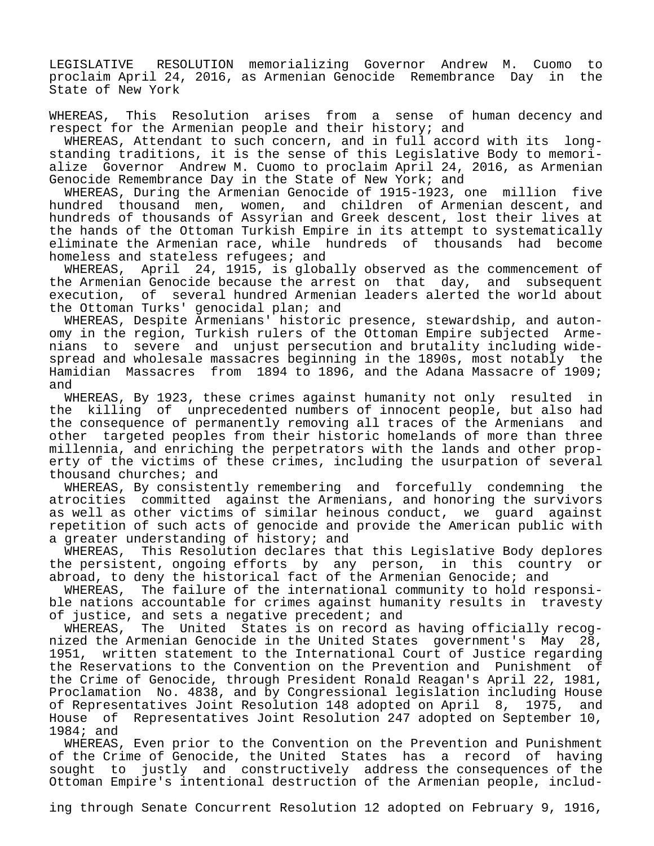LEGISLATIVE RESOLUTION memorializing Governor Andrew M. Cuomo to proclaim April 24, 2016, as Armenian Genocide Remembrance Day in the State of New York

WHEREAS, This Resolution arises from a sense of human decency and respect for the Armenian people and their history; and

 WHEREAS, Attendant to such concern, and in full accord with its longstanding traditions, it is the sense of this Legislative Body to memorialize Governor Andrew M. Cuomo to proclaim April 24, 2016, as Armenian Genocide Remembrance Day in the State of New York; and

 WHEREAS, During the Armenian Genocide of 1915-1923, one million five hundred thousand men, women, and children of Armenian descent, and hundreds of thousands of Assyrian and Greek descent, lost their lives at the hands of the Ottoman Turkish Empire in its attempt to systematically eliminate the Armenian race, while hundreds of thousands had become homeless and stateless refugees; and

 WHEREAS, April 24, 1915, is globally observed as the commencement of the Armenian Genocide because the arrest on that day, and subsequent execution, of several hundred Armenian leaders alerted the world about the Ottoman Turks' genocidal plan; and

 WHEREAS, Despite Armenians' historic presence, stewardship, and autonomy in the region, Turkish rulers of the Ottoman Empire subjected Armenians to severe and unjust persecution and brutality including widespread and wholesale massacres beginning in the 1890s, most notably the Hamidian Massacres from 1894 to 1896, and the Adana Massacre of 1909; and

 WHEREAS, By 1923, these crimes against humanity not only resulted in the killing of unprecedented numbers of innocent people, but also had the consequence of permanently removing all traces of the Armenians and other targeted peoples from their historic homelands of more than three millennia, and enriching the perpetrators with the lands and other property of the victims of these crimes, including the usurpation of several thousand churches; and

 WHEREAS, By consistently remembering and forcefully condemning the atrocities committed against the Armenians, and honoring the survivors as well as other victims of similar heinous conduct, we guard against repetition of such acts of genocide and provide the American public with a greater understanding of history; and

 WHEREAS, This Resolution declares that this Legislative Body deplores the persistent, ongoing efforts by any person, in this country or abroad, to deny the historical fact of the Armenian Genocide; and

 WHEREAS, The failure of the international community to hold responsible nations accountable for crimes against humanity results in travesty of justice, and sets a negative precedent; and

 WHEREAS, The United States is on record as having officially recognized the Armenian Genocide in the United States government's May 28, 1951, written statement to the International Court of Justice regarding the Reservations to the Convention on the Prevention and Punishment of the Crime of Genocide, through President Ronald Reagan's April 22, 1981, Proclamation No. 4838, and by Congressional legislation including House of Representatives Joint Resolution 148 adopted on April 8, 1975, and House of Representatives Joint Resolution 247 adopted on September 10, 1984; and

 WHEREAS, Even prior to the Convention on the Prevention and Punishment of the Crime of Genocide, the United States has a record of having sought to justly and constructively address the consequences of the Ottoman Empire's intentional destruction of the Armenian people, includ-

ing through Senate Concurrent Resolution 12 adopted on February 9, 1916,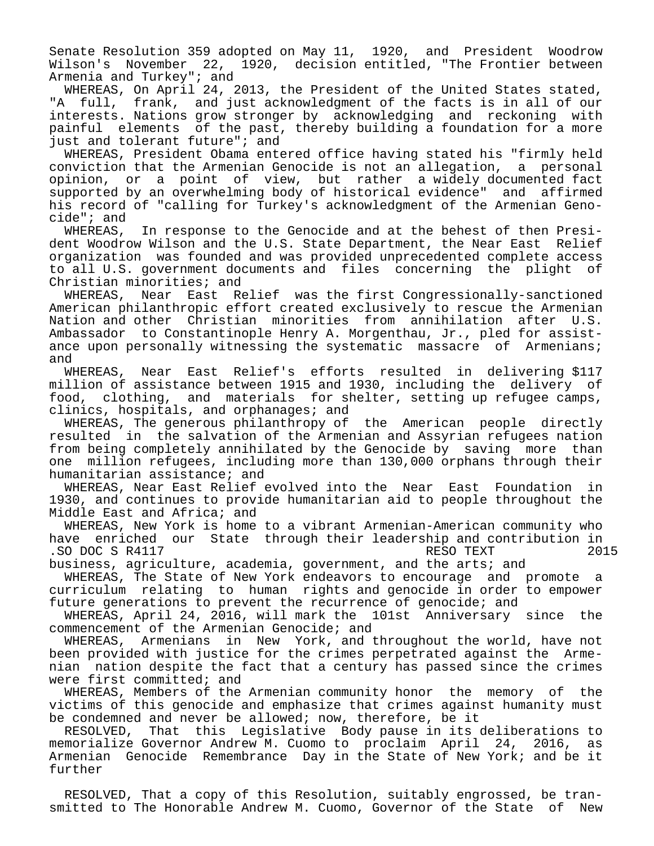Senate Resolution 359 adopted on May 11, 1920, and President Woodrow Wilson's November 22, 1920, decision entitled, "The Frontier between Armenia and Turkey"; and

 WHEREAS, On April 24, 2013, the President of the United States stated, "A full, frank, and just acknowledgment of the facts is in all of our interests. Nations grow stronger by acknowledging and reckoning with painful elements of the past, thereby building a foundation for a more just and tolerant future"; and

 WHEREAS, President Obama entered office having stated his "firmly held conviction that the Armenian Genocide is not an allegation, a personal opinion, or a point of view, but rather a widely documented fact supported by an overwhelming body of historical evidence" and affirmed his record of "calling for Turkey's acknowledgment of the Armenian Genocide"; and

 WHEREAS, In response to the Genocide and at the behest of then President Woodrow Wilson and the U.S. State Department, the Near East Relief organization was founded and was provided unprecedented complete access to all U.S. government documents and files concerning the plight of Christian minorities; and

 WHEREAS, Near East Relief was the first Congressionally-sanctioned American philanthropic effort created exclusively to rescue the Armenian Nation and other Christian minorities from annihilation after U.S. Ambassador to Constantinople Henry A. Morgenthau, Jr., pled for assistance upon personally witnessing the systematic massacre of Armenians; and

 WHEREAS, Near East Relief's efforts resulted in delivering \$117 million of assistance between 1915 and 1930, including the delivery of food, clothing, and materials for shelter, setting up refugee camps, clinics, hospitals, and orphanages; and

 WHEREAS, The generous philanthropy of the American people directly resulted in the salvation of the Armenian and Assyrian refugees nation from being completely annihilated by the Genocide by saving more than one million refugees, including more than 130,000 orphans through their humanitarian assistance; and

 WHEREAS, Near East Relief evolved into the Near East Foundation in 1930, and continues to provide humanitarian aid to people throughout the Middle East and Africa; and

 WHEREAS, New York is home to a vibrant Armenian-American community who have enriched our State through their leadership and contribution in .SO DOC S  $R4117$ 

business, agriculture, academia, government, and the arts; and WHEREAS, The State of New York endeavors to encourage and promote a

curriculum relating to human rights and genocide in order to empower future generations to prevent the recurrence of genocide; and

 WHEREAS, April 24, 2016, will mark the 101st Anniversary since the commencement of the Armenian Genocide; and

 WHEREAS, Armenians in New York, and throughout the world, have not been provided with justice for the crimes perpetrated against the Armenian nation despite the fact that a century has passed since the crimes were first committed; and

 WHEREAS, Members of the Armenian community honor the memory of the victims of this genocide and emphasize that crimes against humanity must be condemned and never be allowed; now, therefore, be it

 RESOLVED, That this Legislative Body pause in its deliberations to memorialize Governor Andrew M. Cuomo to proclaim April 24, 2016, as Armenian Genocide Remembrance Day in the State of New York; and be it further

 RESOLVED, That a copy of this Resolution, suitably engrossed, be transmitted to The Honorable Andrew M. Cuomo, Governor of the State of New